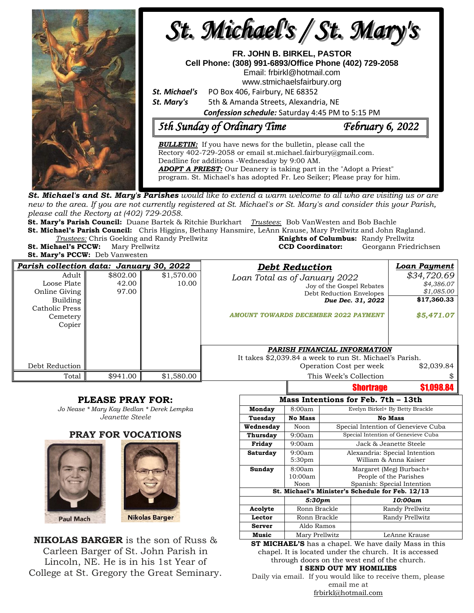

**St. Mary's PCCW:** Deb Vanwesten

| Parish collection data: January 30, 2022                                                  |                            |                     | <b>Debt Reduction</b>                                                                                                                                      | <b>Loan Payment</b>                                                  |
|-------------------------------------------------------------------------------------------|----------------------------|---------------------|------------------------------------------------------------------------------------------------------------------------------------------------------------|----------------------------------------------------------------------|
| Adult<br>Loose Plate<br>Online Giving<br>Building<br>Catholic Press<br>Cemetery<br>Copier | \$802.00<br>42.00<br>97.00 | \$1,570.00<br>10.00 | Loan Total as of January 2022<br>Joy of the Gospel Rebates<br>Debt Reduction Envelopes<br>Due Dec. 31, 2022<br><b>AMOUNT TOWARDS DECEMBER 2022 PAYMENT</b> | \$34,720.69<br>\$4,386.07<br>\$1,085.00<br>\$17,360.33<br>\$5,471.07 |
|                                                                                           |                            |                     | PARISH FINANCIAL INFORMATION<br>It takes \$2,039.84 a week to run St. Michael's Parish.                                                                    |                                                                      |
| Debt Reduction                                                                            |                            |                     | Operation Cost per week                                                                                                                                    | \$2,039.84                                                           |
| Total                                                                                     | \$941.00                   | \$1,580.00          | This Week's Collection                                                                                                                                     |                                                                      |
|                                                                                           |                            |                     | Shortrano                                                                                                                                                  | \$1 NOR RA                                                           |

#### **PLEASE PRAY FOR:**

*Jo Nease \* Mary Kay Bedlan \* Derek Lempka Jeanette Steele*

#### **PRAY FOR VOCATIONS**





**NIKOLAS BARGER** is the son of Russ & Carleen Barger of St. John Parish in Lincoln, NE. He is in his 1st Year of College at St. Gregory the Great Seminary.

|                                                  |                    |                                     | ,,,,,,,,,,,,    | , ,,,,,,, |  |  |  |
|--------------------------------------------------|--------------------|-------------------------------------|-----------------|-----------|--|--|--|
| Mass Intentions for Feb. 7th - 13th              |                    |                                     |                 |           |  |  |  |
| Monday                                           | 8:00am             | Evelyn Birkel+ By Betty Brackle     |                 |           |  |  |  |
| Tuesday                                          | <b>No Mass</b>     | <b>No Mass</b>                      |                 |           |  |  |  |
| Wednesday                                        | Noon               | Special Intention of Genevieve Cuba |                 |           |  |  |  |
| Thursday                                         | 9:00am             | Special Intention of Genevieve Cuba |                 |           |  |  |  |
| Friday                                           | 9:00am             | Jack & Jeanette Steele              |                 |           |  |  |  |
| Saturday                                         | 9:00am             | Alexandria: Special Intention       |                 |           |  |  |  |
|                                                  | 5:30 <sub>pm</sub> | William & Anna Kaiser               |                 |           |  |  |  |
| Sunday                                           | 8:00am             | Margaret (Meg) Burbach+             |                 |           |  |  |  |
|                                                  | 10:00am            | People of the Parishes              |                 |           |  |  |  |
|                                                  | Noon               | Spanish: Special Intention          |                 |           |  |  |  |
| St. Michael's Minister's Schedule for Feb. 12/13 |                    |                                     |                 |           |  |  |  |
|                                                  | 5:30pm             |                                     | 10:00am         |           |  |  |  |
| Acolyte                                          | Ronn Brackle       |                                     | Randy Prellwitz |           |  |  |  |
| Lector                                           | Ronn Brackle       |                                     | Randy Prellwitz |           |  |  |  |
| <b>Server</b>                                    | Aldo Ramos         |                                     |                 |           |  |  |  |
| Music                                            | Mary Prellwitz     |                                     | LeAnne Krause   |           |  |  |  |

**ST MICHAEL'S** has a chapel. We have daily Mass in this chapel. It is located under the church. It is accessed through doors on the west end of the church. **I SEND OUT MY HOMILIES**

Daily via email. If you would like to receive them, please email me at [frbirkl@hotmail.com](mailto:frbirkl@hotmail.com)